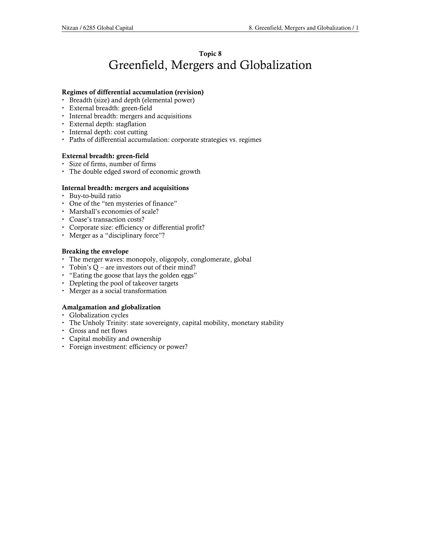# Topic 8 Greenfield, Mergers and Globalization

### Regimes of differential accumulation (revision)

- Breadth (size) and depth (elemental power)
- External breadth: green-field
- Internal breadth: mergers and acquisitions
- External depth: stagflation
- Internal depth: cost cutting
- Paths of differential accumulation: corporate strategies vs. regimes

### External breadth: green-field

- Size of firms, number of firms
- The double edged sword of economic growth

### Internal breadth: mergers and acquisitions

- Buy-to-build ratio
- One of the "ten mysteries of finance"
- Marshall's economies of scale?
- Coase's transaction costs?
- Corporate size: efficiency or differential profit?
- Merger as a "disciplinary force"?

### Breaking the envelope

- The merger waves: monopoly, oligopoly, conglomerate, global
- Tobin's Q are investors out of their mind?
- "Eating the goose that lays the golden eggs"
- Depleting the pool of takeover targets
- Merger as a social transformation

### Amalgamation and globalization

- Globalization cycles
- The Unholy Trinity: state sovereignty, capital mobility, monetary stability
- Gross and net flows
- Capital mobility and ownership
- Foreign investment: efficiency or power?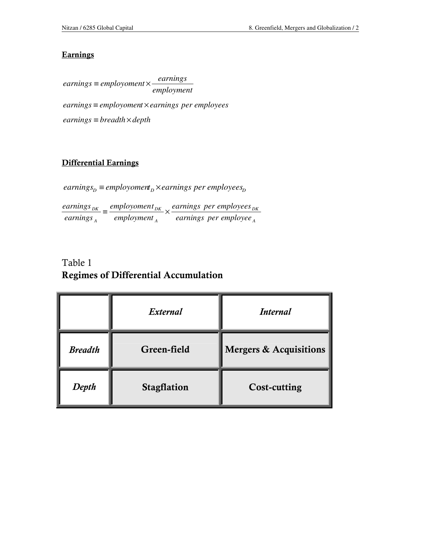### **Earnings**

*employment earnings earnings* <sup>≡</sup> *employoment* <sup>×</sup> *earnings* ≡ *employoment* ×*earnings per employees earnings* ≡ *breadth* × *depth*

### Differential Earnings

*A*

*DK DK DK earnings per employee earnings per employees employment employoment earnings*  $\frac{earnings_{DK}}{m} \equiv \frac{employoment_{DK}}{m} \times$ *D D D earnings* ≡ *employoment* ×*earnings per employees*

*A*

# Table 1 Regimes of Differential Accumulation

|                | External           | <i>Internal</i>                   |
|----------------|--------------------|-----------------------------------|
| <b>Breadth</b> | Green-field        | <b>Mergers &amp; Acquisitions</b> |
| Depth          | <b>Stagflation</b> | <b>Cost-cutting</b>               |

*A*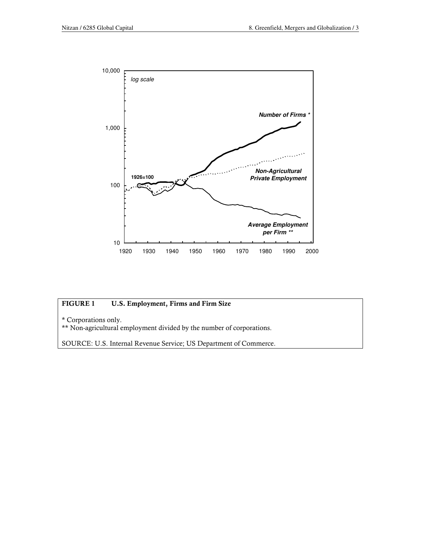

### FIGURE 1 U.S. Employment, Firms and Firm Size

\* Corporations only.

\*\* Non-agricultural employment divided by the number of corporations.

SOURCE: U.S. Internal Revenue Service; US Department of Commerce.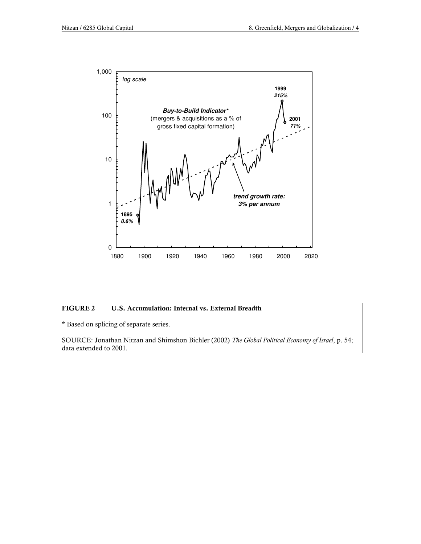

### FIGURE 2 U.S. Accumulation: Internal vs. External Breadth

\* Based on splicing of separate series.

SOURCE: Jonathan Nitzan and Shimshon Bichler (2002) The Global Political Economy of Israel, p. 54; data extended to 2001.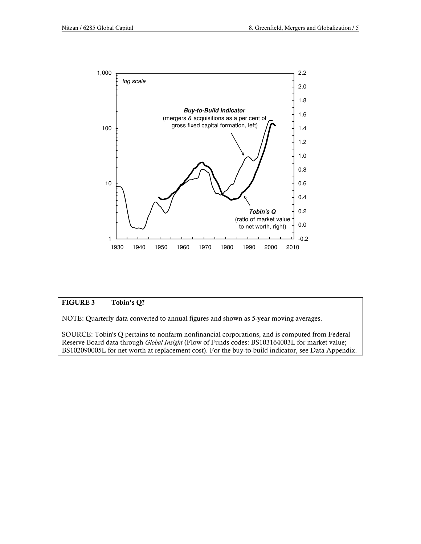

#### FIGURE 3 Tobin's Q?

NOTE: Quarterly data converted to annual figures and shown as 5-year moving averages.

SOURCE: Tobin's Q pertains to nonfarm nonfinancial corporations, and is computed from Federal Reserve Board data through Global Insight (Flow of Funds codes: BS103164003L for market value; BS102090005L for net worth at replacement cost). For the buy-to-build indicator, see Data Appendix.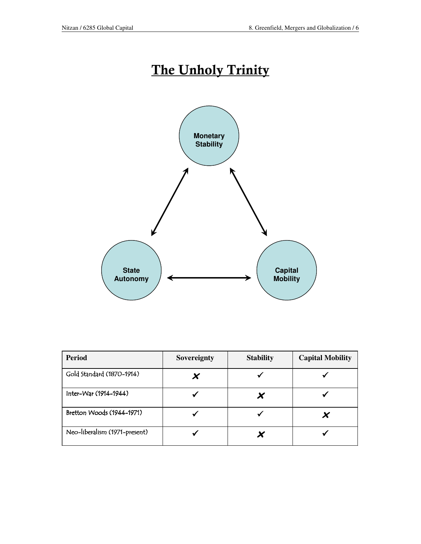# The Unholy Trinity



| <b>Period</b>                 | Sovereignty | <b>Stability</b> | <b>Capital Mobility</b> |
|-------------------------------|-------------|------------------|-------------------------|
| Gold Standard (1870-1914)     |             |                  |                         |
| Inter-War (1914-1944)         |             | X                |                         |
| Bretton Woods (1944-1971)     |             |                  |                         |
| Neo-liberalism (1971-present) |             |                  |                         |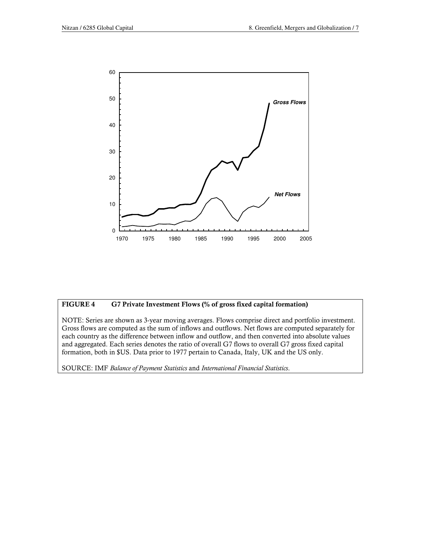

### FIGURE 4 G7 Private Investment Flows (% of gross fixed capital formation)

NOTE: Series are shown as 3-year moving averages. Flows comprise direct and portfolio investment. Gross flows are computed as the sum of inflows and outflows. Net flows are computed separately for each country as the difference between inflow and outflow, and then converted into absolute values and aggregated. Each series denotes the ratio of overall G7 flows to overall G7 gross fixed capital formation, both in \$US. Data prior to 1977 pertain to Canada, Italy, UK and the US only.

SOURCE: IMF Balance of Payment Statistics and International Financial Statistics.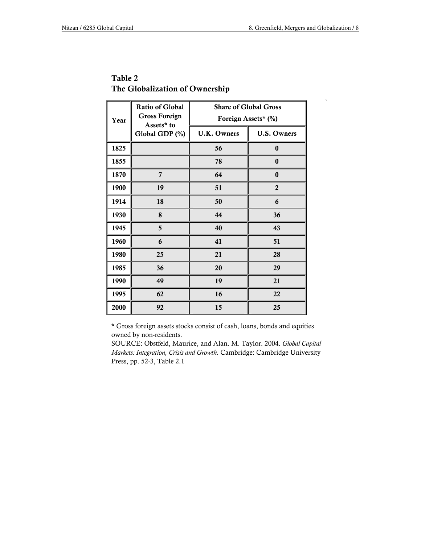`

| Year | <b>Ratio of Global</b><br><b>Gross Foreign</b><br>Assets* to<br>Global GDP (%) | <b>Share of Global Gross</b><br>Foreign Assets* (%) |                    |
|------|--------------------------------------------------------------------------------|-----------------------------------------------------|--------------------|
|      |                                                                                | U.K. Owners                                         | <b>U.S. Owners</b> |
| 1825 |                                                                                | 56                                                  | $\bf{0}$           |
| 1855 |                                                                                | 78                                                  | $\bf{0}$           |
| 1870 | $\overline{7}$                                                                 | 64                                                  | $\bf{0}$           |
| 1900 | 19                                                                             | 51                                                  | $\overline{2}$     |
| 1914 | 18                                                                             | 50                                                  | 6                  |
| 1930 | 8                                                                              | 44                                                  | 36                 |
| 1945 | 5                                                                              | 40                                                  | 43                 |
| 1960 | 6                                                                              | 41                                                  | 51                 |
| 1980 | 25                                                                             | 21                                                  | 28                 |
| 1985 | 36                                                                             | 20                                                  | 29                 |
| 1990 | 49                                                                             | 19                                                  | 21                 |
| 1995 | 62                                                                             | 16                                                  | 22                 |
| 2000 | 92                                                                             | 15                                                  | 25                 |

## Table 2 The Globalization of Ownership

\* Gross foreign assets stocks consist of cash, loans, bonds and equities owned by non-residents.

SOURCE: Obstfeld, Maurice, and Alan. M. Taylor. 2004. Global Capital Markets: Integration, Crisis and Growth. Cambridge: Cambridge University Press, pp. 52-3, Table 2.1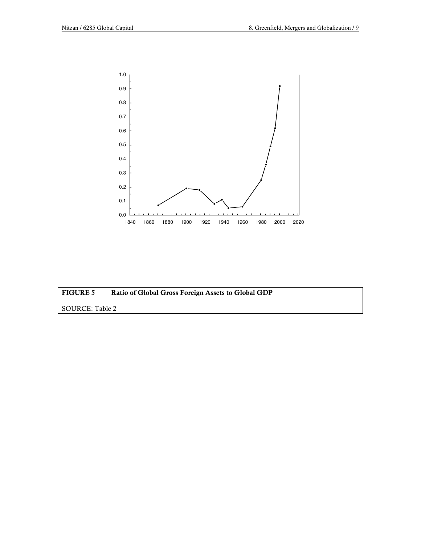

| <b>FIGURE 5</b> | Ratio of Global Gross Foreign Assets to Global GDP |
|-----------------|----------------------------------------------------|
| SOURCE: Table 2 |                                                    |